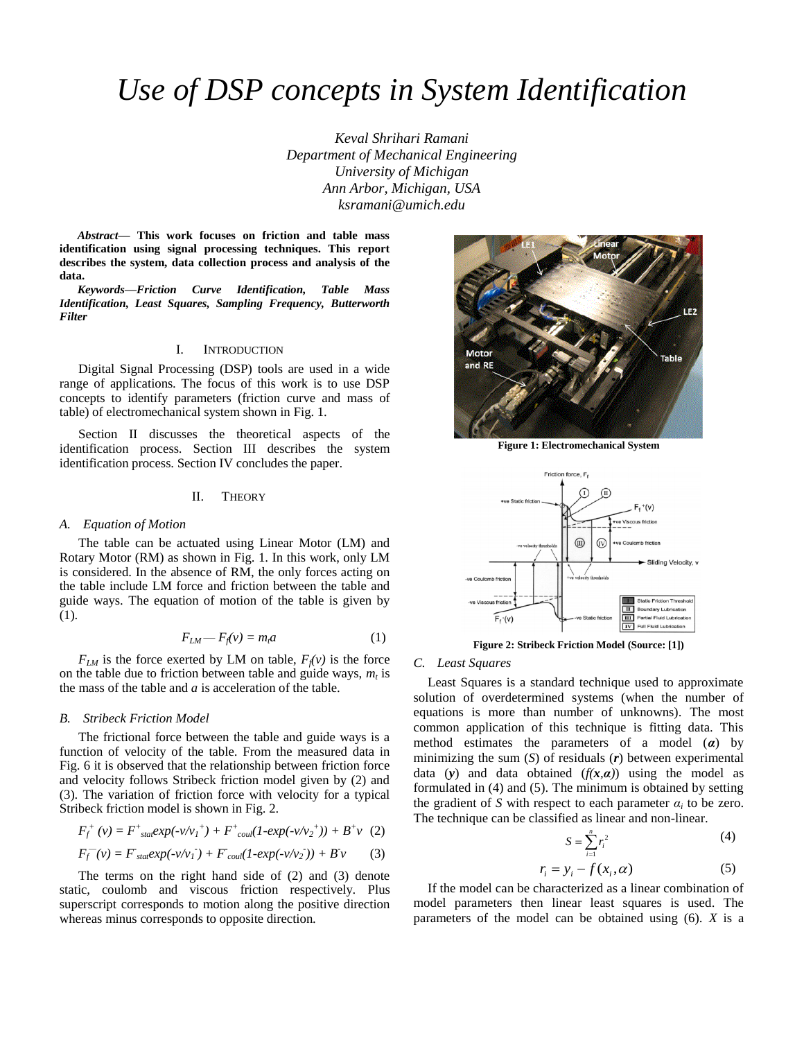# *Use of DSP concepts in System Identification*

*Keval Shrihari Ramani Department of Mechanical Engineering University of Michigan Ann Arbor, Michigan, USA ksramani@umich.edu*

*Abstract***— This work focuses on friction and table mass identification using signal processing techniques. This report describes the system, data collection process and analysis of the data.** 

*Keywords—Friction Curve Identification, Table Mass Identification, Least Squares, Sampling Frequency, Butterworth Filter*

## I. INTRODUCTION

Digital Signal Processing (DSP) tools are used in a wide range of applications. The focus of this work is to use DSP concepts to identify parameters (friction curve and mass of table) of electromechanical system shown in Fig. 1.

Section II discusses the theoretical aspects of the identification process. Section III describes the system identification process. Section IV concludes the paper.

# II. THEORY

#### *A. Equation of Motion*

The table can be actuated using Linear Motor (LM) and Rotary Motor (RM) as shown in Fig. 1. In this work, only LM is considered. In the absence of RM, the only forces acting on the table include LM force and friction between the table and guide ways. The equation of motion of the table is given by (1).

$$
F_{LM} - F_f(v) = m_i a \tag{1}
$$

 $F_{LM}$  is the force exerted by LM on table,  $F_f(v)$  is the force on the table due to friction between table and guide ways,  $m_t$  is the mass of the table and *a* is acceleration of the table.

### *B. Stribeck Friction Model*

The frictional force between the table and guide ways is a function of velocity of the table. From the measured data in Fig. 6 it is observed that the relationship between friction force and velocity follows Stribeck friction model given by (2) and (3). The variation of friction force with velocity for a typical Stribeck friction model is shown in Fig. 2.

$$
F_f^+(v) = F^+{}_{\text{stat}} exp(-v/v_1^+) + F^+{}_{\text{coul}} (1 - exp(-v/v_2^+)) + B^+ v (2)
$$

$$
F_f^-(v) = F_{\text{stat}} \exp(-v/v_1) + F_{\text{coul}} (1 - \exp(-v/v_2)) + B v \tag{3}
$$

The terms on the right hand side of (2) and (3) denote static, coulomb and viscous friction respectively. Plus superscript corresponds to motion along the positive direction whereas minus corresponds to opposite direction.



**Figure 1: Electromechanical System**



**Figure 2: Stribeck Friction Model (Source: [1])**

# *C. Least Squares*

Least Squares is a standard technique used to approximate solution of overdetermined systems (when the number of equations is more than number of unknowns). The most common application of this technique is fitting data. This method estimates the parameters of a model (*α*) by minimizing the sum (*S*) of residuals (*r*) between experimental data (y) and data obtained  $(f(x, a))$  using the model as formulated in (4) and (5). The minimum is obtained by setting the gradient of *S* with respect to each parameter  $\alpha_i$  to be zero. The technique can be classified as linear and non-linear.

$$
S = \sum_{i=1}^{n} r_i^2 \tag{4}
$$

$$
r_i = y_i - f(x_i, \alpha) \tag{5}
$$

If the model can be characterized as a linear combination of model parameters then linear least squares is used. The parameters of the model can be obtained using (6). *X* is a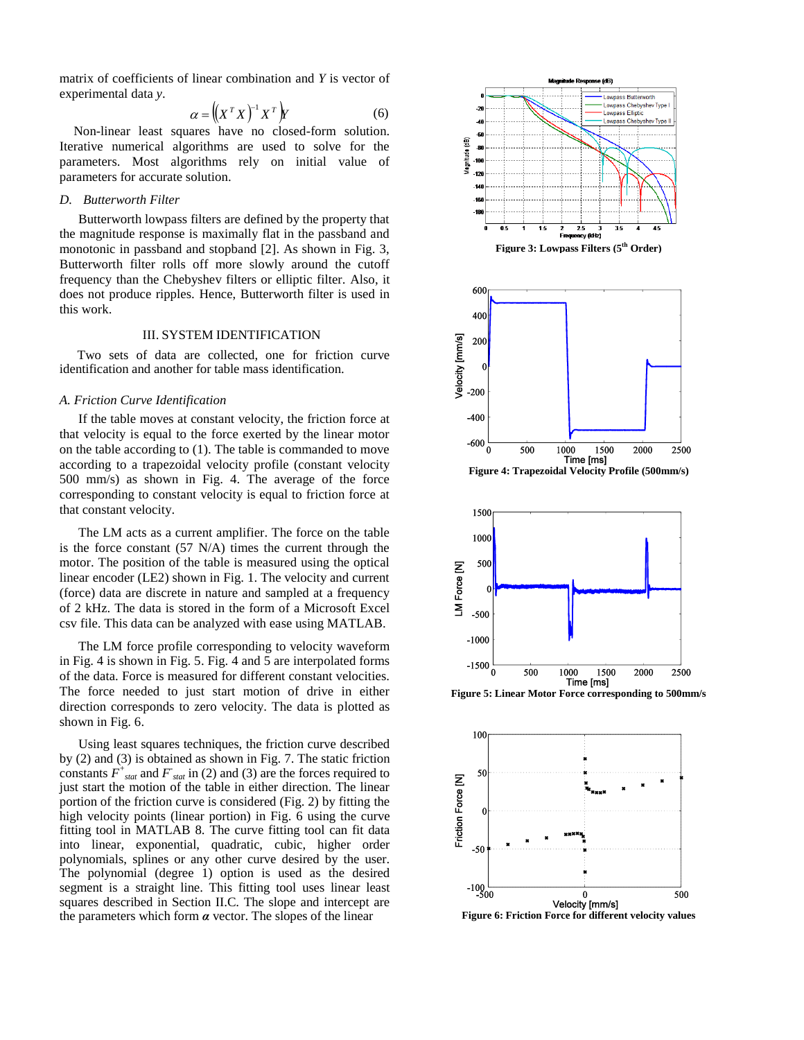matrix of coefficients of linear combination and *Y* is vector of experimental data *y*.

$$
\alpha = \left( \left( X^T X \right)^{-1} X^T \right) Y \tag{6}
$$

Non-linear least squares have no closed-form solution. Iterative numerical algorithms are used to solve for the parameters. Most algorithms rely on initial value of parameters for accurate solution.

# *D. Butterworth Filter*

Butterworth lowpass filters are defined by the property that the magnitude response is maximally flat in the passband and monotonic in passband and stopband [2]. As shown in Fig. 3, Butterworth filter rolls off more slowly around the cutoff frequency than the Chebyshev filters or elliptic filter. Also, it does not produce ripples. Hence, Butterworth filter is used in this work.

### III. SYSTEM IDENTIFICATION

Two sets of data are collected, one for friction curve identification and another for table mass identification.

### *A. Friction Curve Identification*

If the table moves at constant velocity, the friction force at that velocity is equal to the force exerted by the linear motor on the table according to (1). The table is commanded to move according to a trapezoidal velocity profile (constant velocity 500 mm/s) as shown in Fig. 4. The average of the force corresponding to constant velocity is equal to friction force at that constant velocity.

The LM acts as a current amplifier. The force on the table is the force constant (57 N/A) times the current through the motor. The position of the table is measured using the optical linear encoder (LE2) shown in Fig. 1. The velocity and current (force) data are discrete in nature and sampled at a frequency of 2 kHz. The data is stored in the form of a Microsoft Excel csv file. This data can be analyzed with ease using MATLAB.

The LM force profile corresponding to velocity waveform in Fig. 4 is shown in Fig. 5. Fig. 4 and 5 are interpolated forms of the data. Force is measured for different constant velocities. The force needed to just start motion of drive in either direction corresponds to zero velocity. The data is plotted as shown in Fig. 6.

Using least squares techniques, the friction curve described by (2) and (3) is obtained as shown in Fig. 7. The static friction constants  $F^+$ <sub>stat</sub> and  $F$ <sub>stat</sub> in (2) and (3) are the forces required to just start the motion of the table in either direction. The linear portion of the friction curve is considered (Fig. 2) by fitting the high velocity points (linear portion) in Fig. 6 using the curve fitting tool in MATLAB 8. The curve fitting tool can fit data into linear, exponential, quadratic, cubic, higher order polynomials, splines or any other curve desired by the user. The polynomial (degree 1) option is used as the desired segment is a straight line. This fitting tool uses linear least squares described in Section II.C. The slope and intercept are the parameters which form *α* vector. The slopes of the linear





**Figure 6: Friction Force for different velocity values**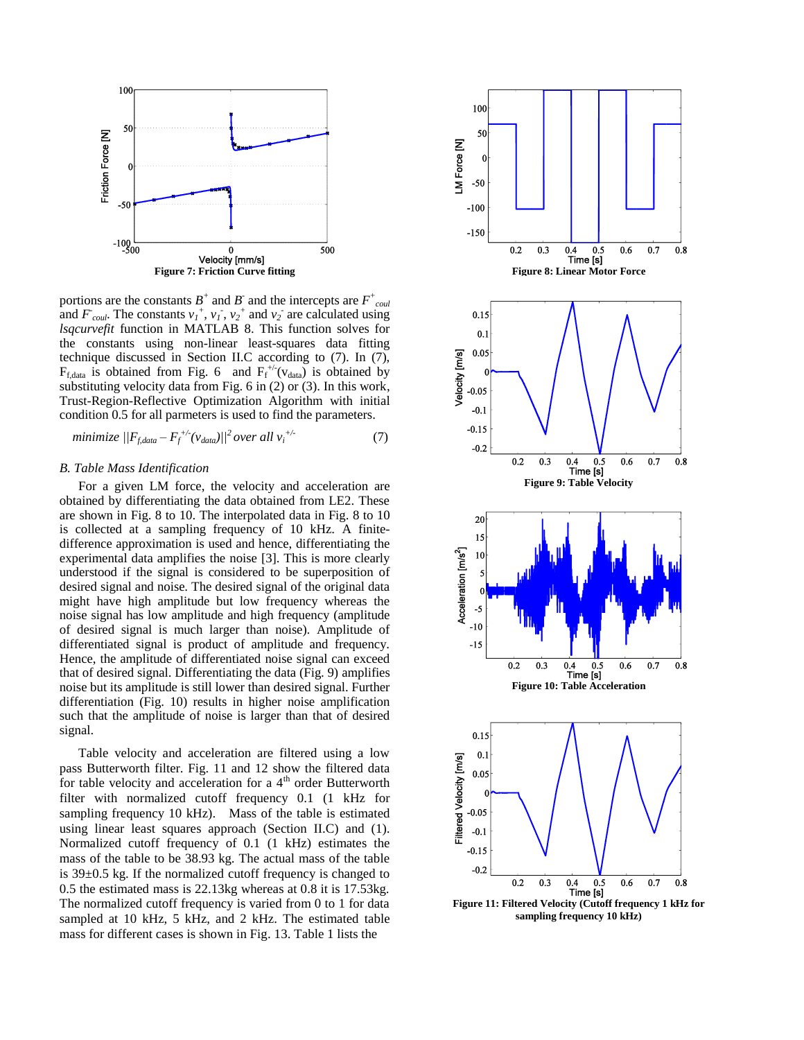

portions are the constants  $B^+$  and  $B^-$  and the intercepts are  $F^+$ <sub>coul</sub> and  $F_{coul}$ . The constants  $v_1^+, v_1^-, v_2^+$  and  $v_2^-$  are calculated using *lsqcurvefit* function in MATLAB 8. This function solves for the constants using non-linear least-squares data fitting technique discussed in Section II.C according to (7). In (7),  $F_{f,data}$  is obtained from Fig. 6 and  $F_f^{+/-}(v_{data})$  is obtained by substituting velocity data from Fig. 6 in (2) or (3). In this work, Trust-Region-Reflective Optimization Algorithm with initial condition 0.5 for all parmeters is used to find the parameters.

*minimize* 
$$
||F_{f, data} - F_f^{+/-}(v_{data})||^2
$$
 over all  $v_i^{+/-}$  (7)

# *B. Table Mass Identification*

For a given LM force, the velocity and acceleration are obtained by differentiating the data obtained from LE2. These are shown in Fig. 8 to 10. The interpolated data in Fig. 8 to 10 is collected at a sampling frequency of 10 kHz. A finitedifference approximation is used and hence, differentiating the experimental data amplifies the noise [3]. This is more clearly understood if the signal is considered to be superposition of desired signal and noise. The desired signal of the original data might have high amplitude but low frequency whereas the noise signal has low amplitude and high frequency (amplitude of desired signal is much larger than noise). Amplitude of differentiated signal is product of amplitude and frequency. Hence, the amplitude of differentiated noise signal can exceed that of desired signal. Differentiating the data (Fig. 9) amplifies noise but its amplitude is still lower than desired signal. Further differentiation (Fig. 10) results in higher noise amplification such that the amplitude of noise is larger than that of desired signal.

Table velocity and acceleration are filtered using a low pass Butterworth filter. Fig. 11 and 12 show the filtered data for table velocity and acceleration for a  $4<sup>th</sup>$  order Butterworth filter with normalized cutoff frequency 0.1 (1 kHz for sampling frequency 10 kHz). Mass of the table is estimated using linear least squares approach (Section II.C) and (1). Normalized cutoff frequency of 0.1 (1 kHz) estimates the mass of the table to be 38.93 kg. The actual mass of the table is 39±0.5 kg. If the normalized cutoff frequency is changed to 0.5 the estimated mass is 22.13kg whereas at 0.8 it is 17.53kg. The normalized cutoff frequency is varied from 0 to 1 for data sampled at 10 kHz, 5 kHz, and 2 kHz. The estimated table mass for different cases is shown in Fig. 13. Table 1 lists the



**sampling frequency 10 kHz)**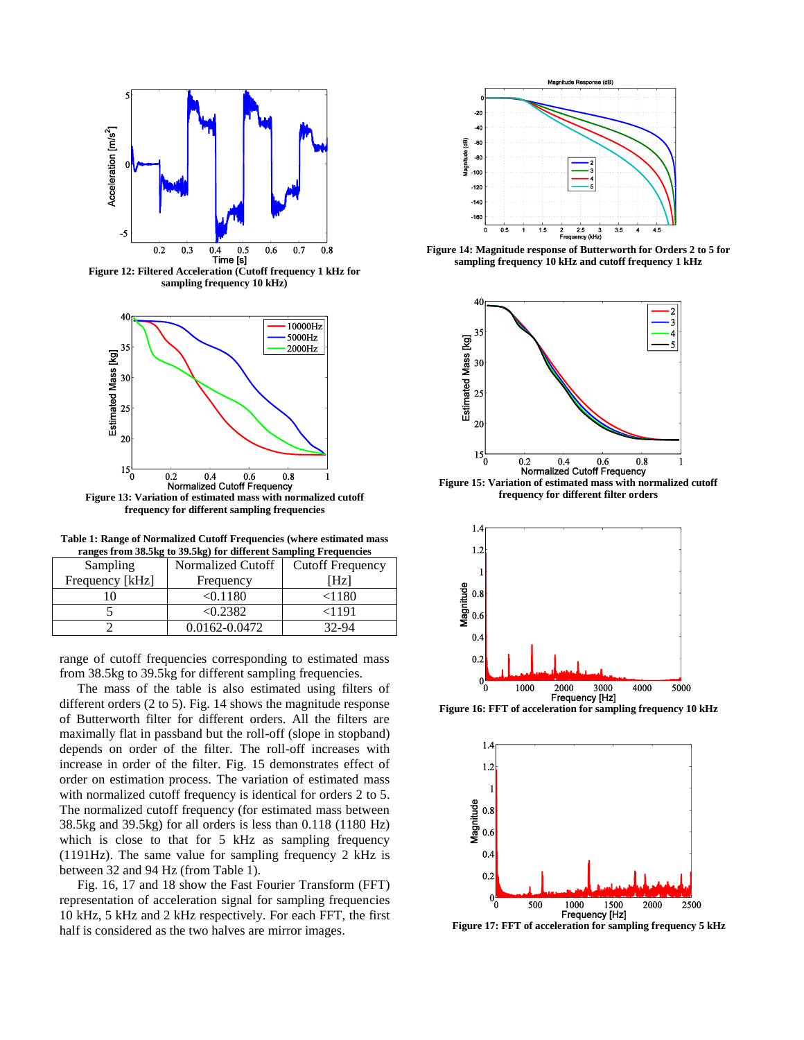

**Figure 12: Filtered Acceleration (Cutoff frequency 1 kHz for sampling frequency 10 kHz)**



**frequency for different sampling frequencies**

**Table 1: Range of Normalized Cutoff Frequencies (where estimated mass ranges from 38.5kg to 39.5kg) for different Sampling Frequencies**

| Sampling        | Normalized Cutoff | <b>Cutoff Frequency</b> |
|-----------------|-------------------|-------------------------|
| Frequency [kHz] | Frequency         | [Hz]                    |
|                 | < 0.1180          | $<$ 1180                |
|                 | < 0.2382          | <1191                   |
|                 | 0.0162-0.0472     | 32-94                   |

range of cutoff frequencies corresponding to estimated mass from 38.5kg to 39.5kg for different sampling frequencies.

The mass of the table is also estimated using filters of different orders (2 to 5). Fig. 14 shows the magnitude response of Butterworth filter for different orders. All the filters are maximally flat in passband but the roll-off (slope in stopband) depends on order of the filter. The roll-off increases with increase in order of the filter. Fig. 15 demonstrates effect of order on estimation process. The variation of estimated mass with normalized cutoff frequency is identical for orders 2 to 5. The normalized cutoff frequency (for estimated mass between 38.5kg and 39.5kg) for all orders is less than 0.118 (1180 Hz) which is close to that for 5 kHz as sampling frequency (1191Hz). The same value for sampling frequency 2 kHz is between 32 and 94 Hz (from Table 1).

Fig. 16, 17 and 18 show the Fast Fourier Transform (FFT) representation of acceleration signal for sampling frequencies 10 kHz, 5 kHz and 2 kHz respectively. For each FFT, the first half is considered as the two halves are mirror images.



**Figure 14: Magnitude response of Butterworth for Orders 2 to 5 for sampling frequency 10 kHz and cutoff frequency 1 kHz**



**Figure 15: Variation of estimated mass with normalized cutoff frequency for different filter orders**





**Figure 17: FFT of acceleration for sampling frequency 5 kHz**